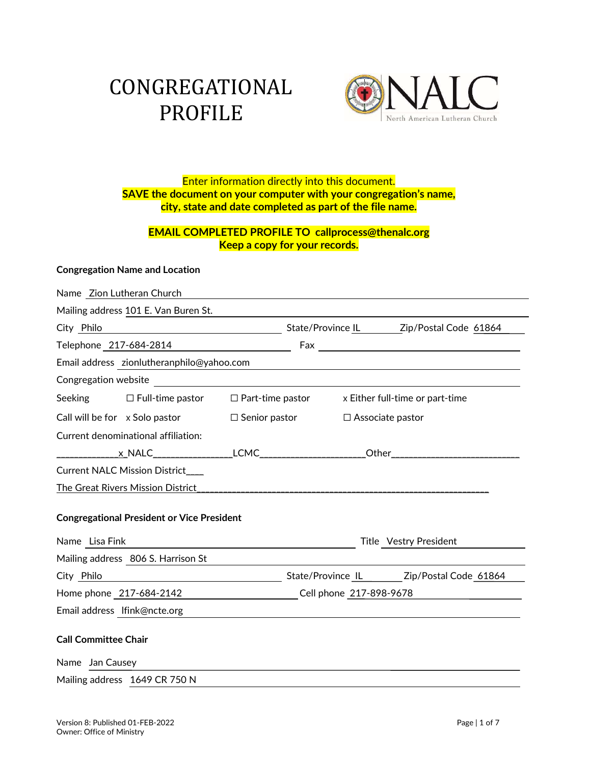# CONGREGATIONAL



## Enter information directly into this document. SAVE the document on your computer with your congregation's name,<br>city, state and date completed as part of the file name.

#### EMAIL COMPLETED PROFILE TO callprocess@thenalc.org Keep a copy for your records.

#### Congregation Name and Location

| Name Zion Lutheran Church                                                                      |                        |                                                             |  |
|------------------------------------------------------------------------------------------------|------------------------|-------------------------------------------------------------|--|
| Mailing address 101 E. Van Buren St.                                                           |                        |                                                             |  |
| City Philo                                                                                     |                        | Mate/Province <u>IL Zip/Postal Code 61864</u>               |  |
| Telephone 217-684-2814                                                                         |                        |                                                             |  |
| Email address zionlutheranphilo@yahoo.com                                                      |                        |                                                             |  |
|                                                                                                |                        |                                                             |  |
| Seeking $\Box$ Full-time pastor $\Box$ Part-time pastor $\Box$ X Either full-time or part-time |                        |                                                             |  |
| Call will be for x Solo pastor $\square$ Senior pastor $\square$ Associate pastor              |                        |                                                             |  |
| Current denominational affiliation:                                                            |                        |                                                             |  |
|                                                                                                |                        |                                                             |  |
| Current NALC Mission District___                                                               |                        |                                                             |  |
| The Great Rivers Mission District                                                              |                        |                                                             |  |
| <b>Congregational President or Vice President</b>                                              |                        |                                                             |  |
| Name Lisa Fink                                                                                 | Title Vestry President |                                                             |  |
| Mailing address 806 S. Harrison St                                                             |                        |                                                             |  |
| City Philo                                                                                     |                        |                                                             |  |
|                                                                                                |                        | Home phone 217-684-2142 Cell phone 217-898-9678             |  |
| Email address Ifink@ncte.org                                                                   |                        | <u> 1980 - Jan Sterling, amerikansk politiker (d. 1980)</u> |  |
| <b>Call Committee Chair</b>                                                                    |                        |                                                             |  |
| Name Jan Causey                                                                                |                        |                                                             |  |
| Mailing address 1649 CR 750 N                                                                  |                        |                                                             |  |
|                                                                                                |                        |                                                             |  |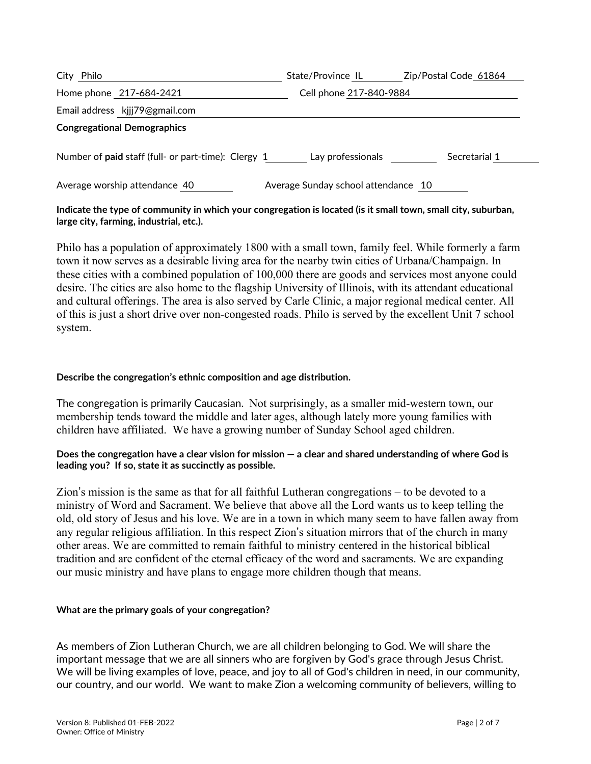| City Philo                                          | State/Province IL                   | Zip/Postal Code 61864 |
|-----------------------------------------------------|-------------------------------------|-----------------------|
| Home phone 217-684-2421                             | Cell phone 217-840-9884             |                       |
| Email address kjjj79@gmail.com                      |                                     |                       |
| <b>Congregational Demographics</b>                  |                                     |                       |
| Number of paid staff (full- or part-time): Clergy 1 | Lay professionals                   | Secretarial 1         |
| Average worship attendance 40                       | Average Sunday school attendance 10 |                       |

#### Indicate the type of community in which your congregation is located (is it small town, small city, suburban, large city, farming, industrial, etc.).

Philo has a population of approximately 1800 with a small town, family feel. While formerly a farm town it now serves as a desirable living area for the nearby twin cities of Urbana/Champaign. In these cities with a combined population of 100,000 there are goods and services most anyone could desire. The cities are also home to the flagship University of Illinois, with its attendant educational and cultural offerings. The area is also served by Carle Clinic, a major regional medical center. All of this is just a short drive over non-congested roads. Philo is served by the excellent Unit 7 school system.

#### Describe the congregation's ethnic composition and age distribution.

The congregation is primarily Caucasian. Not surprisingly, as a smaller mid-western town, our membership tends toward the middle and later ages, although lately more young families with children have affiliated. We have a growing number of Sunday School aged children.

#### Does the congregation have a clear vision for mission — a clear and shared understanding of where God is leading you? If so, state it as succinctly as possible.

Zion's mission is the same as that for all faithful Lutheran congregations – to be devoted to a ministry of Word and Sacrament. We believe that above all the Lord wants us to keep telling the old, old story of Jesus and his love. We are in a town in which many seem to have fallen away from any regular religious affiliation. In this respect Zion's situation mirrors that of the church in many other areas. We are committed to remain faithful to ministry centered in the historical biblical tradition and are confident of the eternal efficacy of the word and sacraments. We are expanding our music ministry and have plans to engage more children though that means.

#### What are the primary goals of your congregation?

As members of Zion Lutheran Church, we are all children belonging to God. We will share the important message that we are all sinners who are forgiven by God's grace through Jesus Christ. We will be living examples of love, peace, and joy to all of God's children in need, in our community, our country, and our world. We want to make Zion a welcoming community of believers, willing to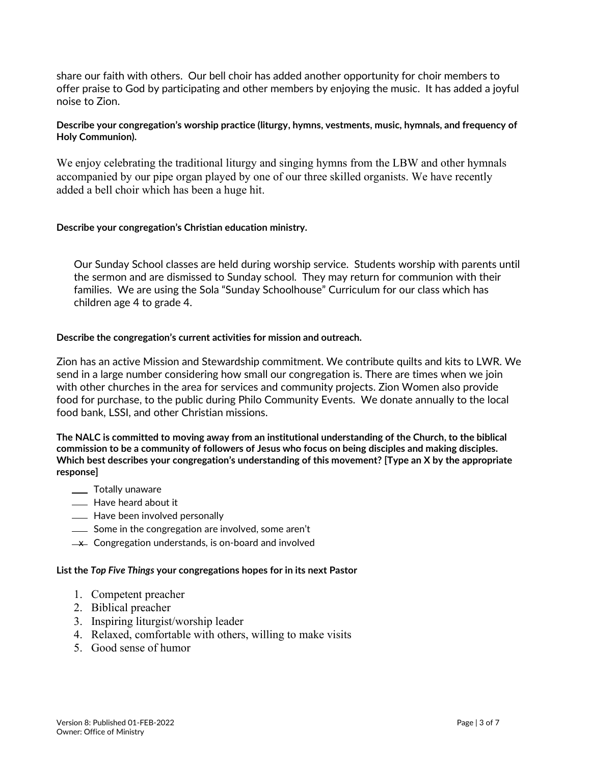share our faith with others. Our bell choir has added another opportunity for choir members to offer praise to God by participating and other members by enjoying the music. It has added a joyful noise to Zion.

#### Describe your congregation's worship practice (liturgy, hymns, vestments, music, hymnals, and frequency of Holy Communion).

We enjoy celebrating the traditional liturgy and singing hymns from the LBW and other hymnals accompanied by our pipe organ played by one of our three skilled organists. We have recently added a bell choir which has been a huge hit.

#### Describe your congregation's Christian education ministry.

Our Sunday School classes are held during worship service. Students worship with parents until the sermon and are dismissed to Sunday school. They may return for communion with their families. We are using the Sola "Sunday Schoolhouse" Curriculum for our class which has children age 4 to grade 4.

#### Describe the congregation's current activities for mission and outreach.

Zion has an active Mission and Stewardship commitment. We contribute quilts and kits to LWR. We send in a large number considering how small our congregation is. There are times when we join with other churches in the area for services and community projects. Zion Women also provide food for purchase, to the public during Philo Community Events. We donate annually to the local food bank, LSSI, and other Christian missions.

The NALC is committed to moving away from an institutional understanding of the Church, to the biblical commission to be a community of followers of Jesus who focus on being disciples and making disciples. Which best describes your congregation's understanding of this movement? [Type an X by the appropriate response]

- \_\_\_ Totally unaware
- **EXEC** Have heard about it
- Have been involved personally
- Some in the congregation are involved, some aren't
- $\perp$  Congregation understands, is on-board and involved

#### List the Top Five Things your congregations hopes for in its next Pastor

- 1. Competent preacher
- 2. Biblical preacher
- 3. Inspiring liturgist/worship leader
- 4. Relaxed, comfortable with others, willing to make visits
- 5. Good sense of humor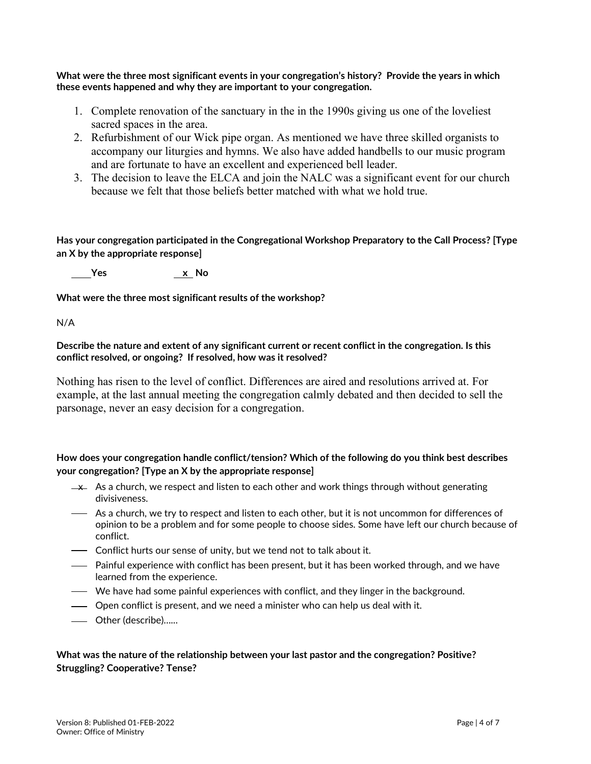What were the three most significant events in your congregation's history? Provide the years in which these events happened and why they are important to your congregation.

- 1. Complete renovation of the sanctuary in the in the 1990s giving us one of the loveliest sacred spaces in the area.
- 2. Refurbishment of our Wick pipe organ. As mentioned we have three skilled organists to accompany our liturgies and hymns. We also have added handbells to our music program and are fortunate to have an excellent and experienced bell leader.
- 3. The decision to leave the ELCA and join the NALC was a significant event for our church because we felt that those beliefs better matched with what we hold true.

Has your congregation participated in the Congregational Workshop Preparatory to the Call Process? [Type an X by the appropriate response]

Yes x No

What were the three most significant results of the workshop?

N/A

Describe the nature and extent of any significant current or recent conflict in the congregation. Is this conflict resolved, or ongoing? If resolved, how was it resolved?

Nothing has risen to the level of conflict. Differences are aired and resolutions arrived at. For example, at the last annual meeting the congregation calmly debated and then decided to sell the parsonage, never an easy decision for a congregation.

#### How does your congregation handle conflict/tension? Which of the following do you think best describes your congregation? [Type an X by the appropriate response]

- $\rightarrow$  As a church, we respect and listen to each other and work things through without generating divisiveness.
- As a church, we try to respect and listen to each other, but it is not uncommon for differences of opinion to be a problem and for some people to choose sides. Some have left our church because of conflict.
- Conflict hurts our sense of unity, but we tend not to talk about it.
- Painful experience with conflict has been present, but it has been worked through, and we have learned from the experience.
- We have had some painful experiences with conflict, and they linger in the background.
- Open conflict is present, and we need a minister who can help us deal with it.
- Other (describe)…...

#### What was the nature of the relationship between your last pastor and the congregation? Positive? Struggling? Cooperative? Tense?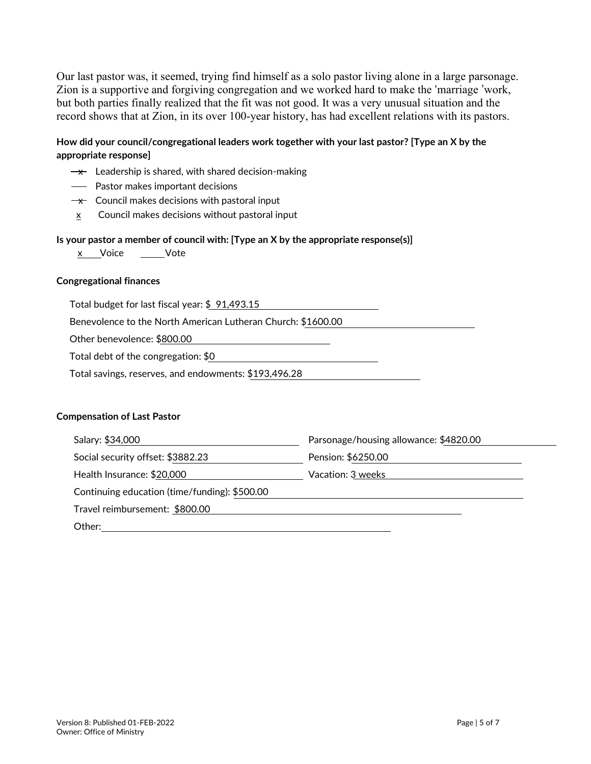Our last pastor was, it seemed, trying find himself as a solo pastor living alone in a large parsonage. Zion is a supportive and forgiving congregation and we worked hard to make the 'marriage 'work, but both parties finally realized that the fit was not good. It was a very unusual situation and the record shows that at Zion, in its over 100-year history, has had excellent relations with its pastors.

#### How did your council/congregational leaders work together with your last pastor? [Type an X by the appropriate response]

- $\rightarrow$  Leadership is shared, with shared decision-making
- Pastor makes important decisions
- $\rightarrow \times$  Council makes decisions with pastoral input
- x Council makes decisions without pastoral input

#### Is your pastor a member of council with: [Type an X by the appropriate response(s)]

x Voice \_\_\_\_\_Vote

#### Congregational finances

Total budget for last fiscal year: \$ 91,493.15

Benevolence to the North American Lutheran Church: \$1600.00

Other benevolence: \$800.00

Total debt of the congregation: \$0

Total savings, reserves, and endowments: \$193,496.28

#### Compensation of Last Pastor

| Salary: \$34,000                              | Parsonage/housing allowance: \$4820.00 |  |
|-----------------------------------------------|----------------------------------------|--|
| Social security offset: \$3882.23             | Pension: \$6250.00                     |  |
| Health Insurance: \$20,000                    | Vacation: 3 weeks                      |  |
| Continuing education (time/funding): \$500.00 |                                        |  |
| Travel reimbursement: \$800.00                |                                        |  |
| Other:                                        |                                        |  |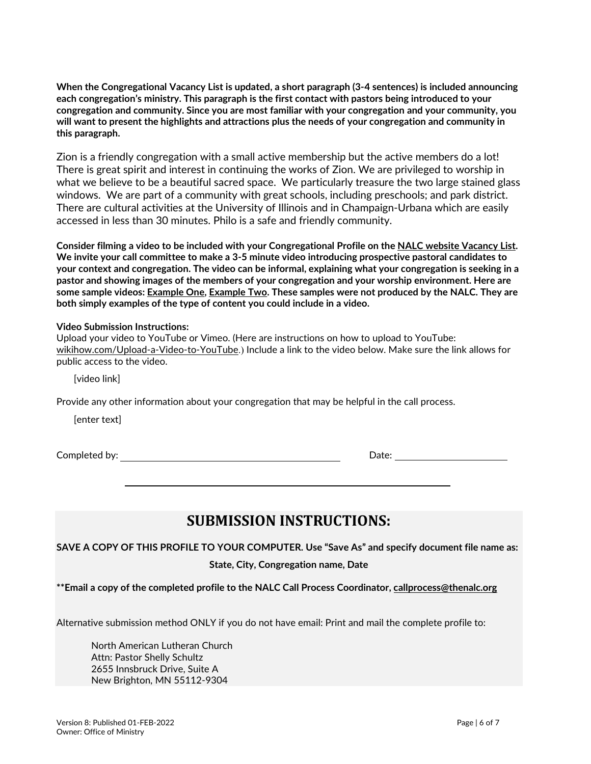When the Congregational Vacancy List is updated, a short paragraph (3-4 sentences) is included announcing each congregation's ministry. This paragraph is the first contact with pastors being introduced to your congregation and community. Since you are most familiar with your congregation and your community, you will want to present the highlights and attractions plus the needs of your congregation and community in this paragraph.

Zion is a friendly congregation with a small active membership but the active members do a lot! There is great spirit and interest in continuing the works of Zion. We are privileged to worship in what we believe to be a beautiful sacred space. We particularly treasure the two large stained glass windows. We are part of a community with great schools, including preschools; and park district. There are cultural activities at the University of Illinois and in Champaign-Urbana which are easily accessed in less than 30 minutes. Philo is a safe and friendly community.

Consider filming a video to be included with your Congregational Profile on the NALC website Vacancy List. We invite your call committee to make a 3-5 minute video introducing prospective pastoral candidates to your context and congregation. The video can be informal, explaining what your congregation is seeking in a pastor and showing images of the members of your congregation and your worship environment. Here are some sample videos: Example One, Example Two. These samples were not produced by the NALC. They are both simply examples of the type of content you could include in a video.

#### Video Submission Instructions:

| Upload your video to YouTube or Vimeo. (Here are instructions on how to upload to YouTube:               |
|----------------------------------------------------------------------------------------------------------|
| wikihow.com/Upload-a-Video-to-YouTube.) Include a link to the video below. Make sure the link allows for |
| public access to the video.                                                                              |

[video link]

Provide any other information about your congregation that may be helpful in the call process.

[enter text]

**Completed by:**  $\qquad \qquad$  Date:

### SUBMISSION INSTRUCTIONS:

SAVE A COPY OF THIS PROFILE TO YOUR COMPUTER. Use "Save As" and specify document file name as:

State, City, Congregation name, Date

\*\*Email a copy of the completed profile to the NALC Call Process Coordinator, callprocess@thenalc.org

Alternative submission method ONLY if you do not have email: Print and mail the complete profile to:

 North American Lutheran Church Attn: Pastor Shelly Schultz 2655 Innsbruck Drive, Suite A New Brighton, MN 55112-9304